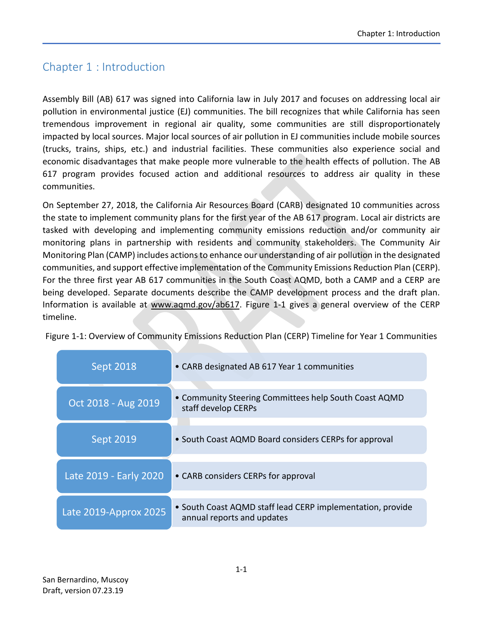### Chapter 1 : Introduction

Assembly Bill (AB) 617 was signed into California law in July 2017 and focuses on addressing local air pollution in environmental justice (EJ) communities. The bill recognizes that while California has seen tremendous improvement in regional air quality, some communities are still disproportionately impacted by local sources. Major local sources of air pollution in EJ communities include mobile sources (trucks, trains, ships, etc.) and industrial facilities. These communities also experience social and economic disadvantages that make people more vulnerable to the health effects of pollution. The AB 617 program provides focused action and additional resources to address air quality in these communities.

On September 27, 2018, the California Air Resources Board (CARB) designated 10 communities across the state to implement community plans for the first year of the AB 617 program. Local air districts are tasked with developing and implementing community emissions reduction and/or community air monitoring plans in partnership with residents and community stakeholders. The Community Air Monitoring Plan (CAMP) includes actions to enhance our understanding of air pollution in the designated communities, and support effective implementation of the Community Emissions Reduction Plan (CERP). For the three first year AB 617 communities in the South Coast AQMD, both a CAMP and a CERP are being developed. Separate documents describe the CAMP development process and the draft plan. Information is available at www.aqmd.gov/ab617. [Figure 1-1](#page-0-0) gives a general overview of the CERP timeline.

<span id="page-0-0"></span>Figure 1-1: Overview of Community Emissions Reduction Plan (CERP) Timeline for Year 1 Communities

| <b>Sept 2018</b>       | • CARB designated AB 617 Year 1 communities                                              |
|------------------------|------------------------------------------------------------------------------------------|
| Oct 2018 - Aug 2019    | • Community Steering Committees help South Coast AQMD<br>staff develop CERPs             |
| Sept 2019              | • South Coast AQMD Board considers CERPs for approval                                    |
| Late 2019 - Early 2020 | • CARB considers CERPs for approval                                                      |
| Late 2019-Approx 2025  | • South Coast AQMD staff lead CERP implementation, provide<br>annual reports and updates |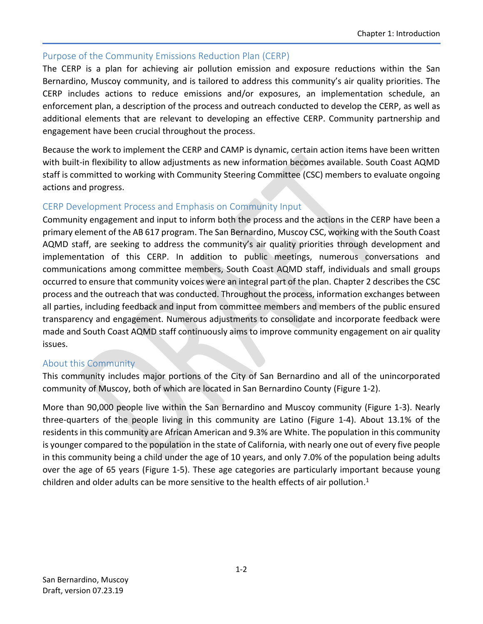#### Purpose of the Community Emissions Reduction Plan (CERP)

The CERP is a plan for achieving air pollution emission and exposure reductions within the San Bernardino, Muscoy community, and is tailored to address this community's air quality priorities. The CERP includes actions to reduce emissions and/or exposures, an implementation schedule, an enforcement plan, a description of the process and outreach conducted to develop the CERP, as well as additional elements that are relevant to developing an effective CERP. Community partnership and engagement have been crucial throughout the process.

Because the work to implement the CERP and CAMP is dynamic, certain action items have been written with built-in flexibility to allow adjustments as new information becomes available. South Coast AQMD staff is committed to working with Community Steering Committee (CSC) members to evaluate ongoing actions and progress.

#### CERP Development Process and Emphasis on Community Input

Community engagement and input to inform both the process and the actions in the CERP have been a primary element of the AB 617 program. The San Bernardino, Muscoy CSC, working with the South Coast AQMD staff, are seeking to address the community's air quality priorities through development and implementation of this CERP. In addition to public meetings, numerous conversations and communications among committee members, South Coast AQMD staff, individuals and small groups occurred to ensure that community voices were an integral part of the plan. Chapter 2 describes the CSC process and the outreach that was conducted. Throughout the process, information exchanges between all parties, including feedback and input from committee members and members of the public ensured transparency and engagement. Numerous adjustments to consolidate and incorporate feedback were made and South Coast AQMD staff continuously aims to improve community engagement on air quality issues.

#### About this Community

This community includes major portions of the City of San Bernardino and all of the unincorporated community of Muscoy, both of which are located in San Bernardino County [\(Figure 1-2\)](#page-2-0).

More than 90,000 people live within the San Bernardino and Muscoy community (Figure 1-3). Nearly three-quarters of the people living in this community are Latino [\(Figure 1-4\)](#page-3-0). About 13.1% of the residents in this community are African American and 9.3% are White. The population in this community is younger compared to the population in the state of California, with nearly one out of every five people in this community being a child under the age of 10 years, and only 7.0% of the population being adults over the age of 65 years [\(Figure 1-5\)](#page-3-1). These age categories are particularly important because young children and older adults can be more sensitive to the health effects of air pollution.<sup>1</sup>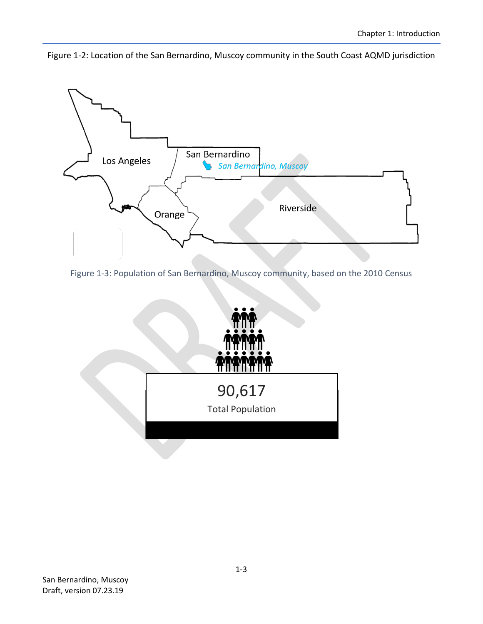<span id="page-2-0"></span>Figure 1-2: Location of the San Bernardino, Muscoy community in the South Coast AQMD jurisdiction



Figure 1-3: Population of San Bernardino, Muscoy community, based on the 2010 Census

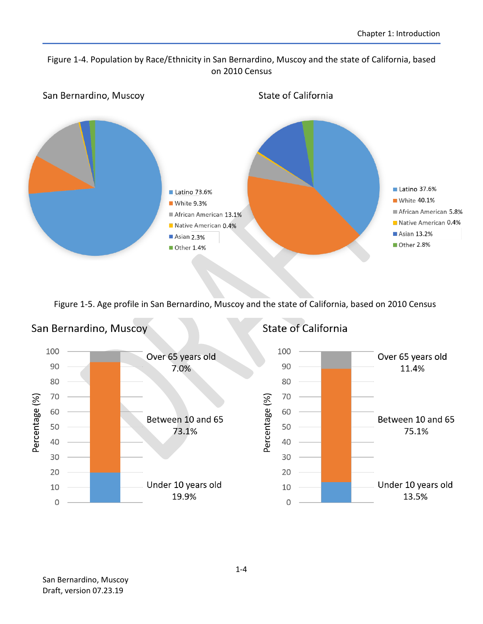#### <span id="page-3-0"></span>Figure 1-4. Population by Race/Ethnicity in San Bernardino, Muscoy and the state of California, based on 2010 Census



<span id="page-3-1"></span>Figure 1-5. Age profile in San Bernardino, Muscoy and the state of California, based on 2010 Census

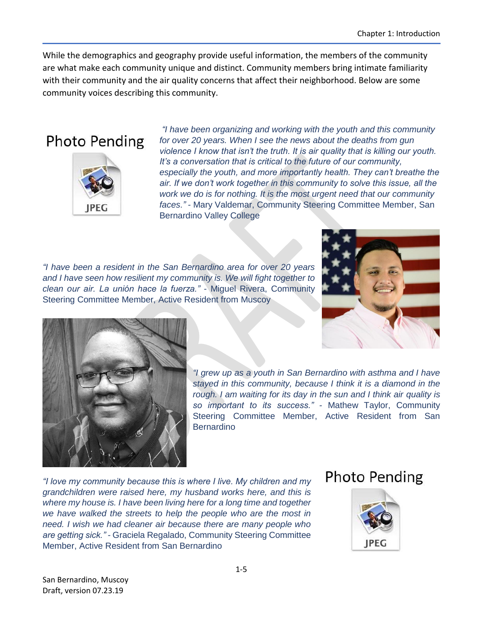While the demographics and geography provide useful information, the members of the community are what make each community unique and distinct. Community members bring intimate familiarity with their community and the air quality concerns that affect their neighborhood. Below are some community voices describing this community.

# **Photo Pending**



*"I have been organizing and working with the youth and this community for over 20 years. When I see the news about the deaths from gun violence I know that isn't the truth. It is air quality that is killing our youth. It's a conversation that is critical to the future of our community, especially the youth, and more importantly health. They can't breathe the air. If we don't work together in this community to solve this issue, all the work we do is for nothing. It is the most urgent need that our community faces." -* Mary Valdemar, Community Steering Committee Member, San Bernardino Valley College

*"I have been a resident in the San Bernardino area for over 20 years and I have seen how resilient my community is. We will fight together to clean our air. La unión hace la fuerza." -* Miguel Rivera, Community Steering Committee Member, Active Resident from Muscoy





*"I grew up as a youth in San Bernardino with asthma and I have stayed in this community, because I think it is a diamond in the rough. I am waiting for its day in the sun and I think air quality is so important to its success." -* Mathew Taylor, Community Steering Committee Member, Active Resident from San Bernardino

*"I love my community because this is where I live. My children and my grandchildren were raised here, my husband works here, and this is where my house is. I have been living here for a long time and together we have walked the streets to help the people who are the most in need. I wish we had cleaner air because there are many people who are getting sick." -* Graciela Regalado, Community Steering Committee Member, Active Resident from San Bernardino

## **Photo Pending**